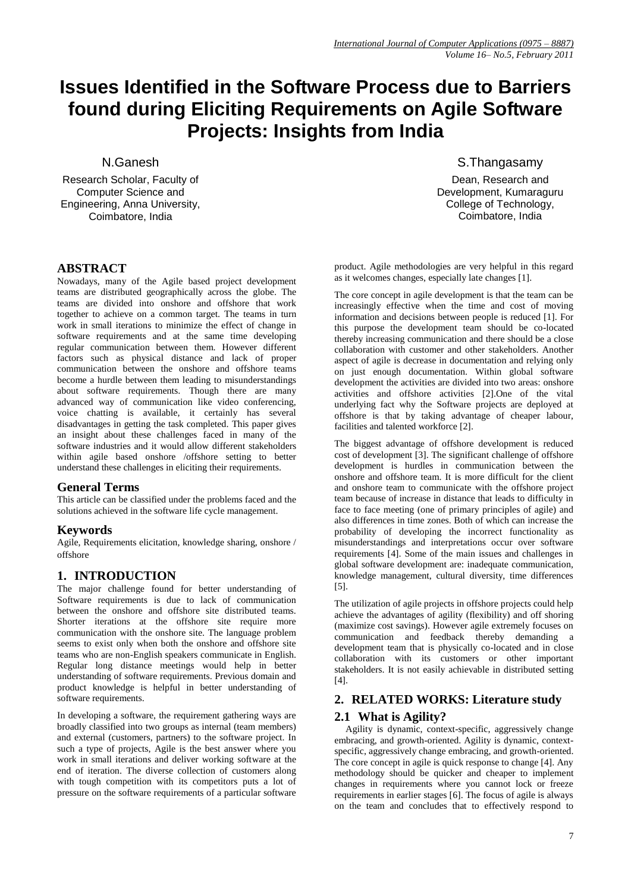# **Issues Identified in the Software Process due to Barriers found during Eliciting Requirements on Agile Software Projects: Insights from India**

N.Ganesh

Research Scholar, Faculty of Computer Science and Engineering, Anna University, Coimbatore, India

# **ABSTRACT**

Nowadays, many of the Agile based project development teams are distributed geographically across the globe. The teams are divided into onshore and offshore that work together to achieve on a common target. The teams in turn work in small iterations to minimize the effect of change in software requirements and at the same time developing regular communication between them. However different factors such as physical distance and lack of proper communication between the onshore and offshore teams become a hurdle between them leading to misunderstandings about software requirements. Though there are many advanced way of communication like video conferencing, voice chatting is available, it certainly has several disadvantages in getting the task completed. This paper gives an insight about these challenges faced in many of the software industries and it would allow different stakeholders within agile based onshore /offshore setting to better understand these challenges in eliciting their requirements.

## **General Terms**

This article can be classified under the problems faced and the solutions achieved in the software life cycle management.

# **Keywords**

Agile, Requirements elicitation, knowledge sharing, onshore / offshore

# **1. INTRODUCTION**

The major challenge found for better understanding of Software requirements is due to lack of communication between the onshore and offshore site distributed teams. Shorter iterations at the offshore site require more communication with the onshore site. The language problem seems to exist only when both the onshore and offshore site teams who are non-English speakers communicate in English. Regular long distance meetings would help in better understanding of software requirements. Previous domain and product knowledge is helpful in better understanding of software requirements.

In developing a software, the requirement gathering ways are broadly classified into two groups as internal (team members) and external (customers, partners) to the software project. In such a type of projects, Agile is the best answer where you work in small iterations and deliver working software at the end of iteration. The diverse collection of customers along with tough competition with its competitors puts a lot of pressure on the software requirements of a particular software S.Thangasamy

Dean, Research and Development, Kumaraguru College of Technology, Coimbatore, India

product. Agile methodologies are very helpful in this regard as it welcomes changes, especially late changes [1].

The core concept in agile development is that the team can be increasingly effective when the time and cost of moving information and decisions between people is reduced [1]. For this purpose the development team should be co-located thereby increasing communication and there should be a close collaboration with customer and other stakeholders. Another aspect of agile is decrease in documentation and relying only on just enough documentation. Within global software development the activities are divided into two areas: onshore activities and offshore activities [2].One of the vital underlying fact why the Software projects are deployed at offshore is that by taking advantage of cheaper labour, facilities and talented workforce [2].

The biggest advantage of offshore development is reduced cost of development [3]. The significant challenge of offshore development is hurdles in communication between the onshore and offshore team. It is more difficult for the client and onshore team to communicate with the offshore project team because of increase in distance that leads to difficulty in face to face meeting (one of primary principles of agile) and also differences in time zones. Both of which can increase the probability of developing the incorrect functionality as misunderstandings and interpretations occur over software requirements [4]. Some of the main issues and challenges in global software development are: inadequate communication, knowledge management, cultural diversity, time differences [5].

The utilization of agile projects in offshore projects could help achieve the advantages of agility (flexibility) and off shoring (maximize cost savings). However agile extremely focuses on communication and feedback thereby demanding a development team that is physically co-located and in close collaboration with its customers or other important stakeholders. It is not easily achievable in distributed setting [4].

# **2. RELATED WORKS: Literature study**

# **2.1 What is Agility?**

Agility is dynamic, context-specific, aggressively change embracing, and growth-oriented. Agility is dynamic, contextspecific, aggressively change embracing, and growth-oriented. The core concept in agile is quick response to change [4]. Any methodology should be quicker and cheaper to implement changes in requirements where you cannot lock or freeze requirements in earlier stages [6]. The focus of agile is always on the team and concludes that to effectively respond to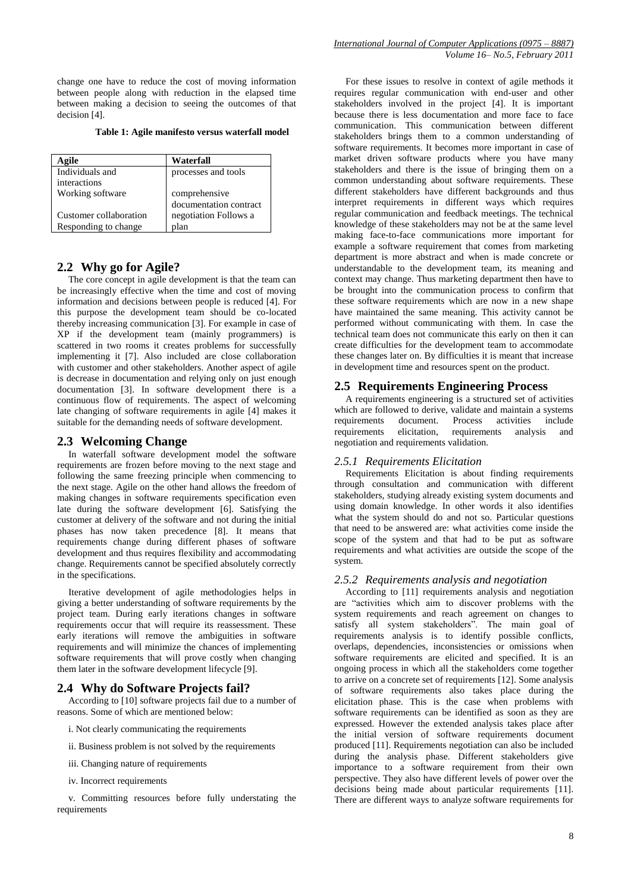change one have to reduce the cost of moving information between people along with reduction in the elapsed time between making a decision to seeing the outcomes of that decision [4].

**Table 1: Agile manifesto versus waterfall model**

| Agile                  | Waterfall              |
|------------------------|------------------------|
| Individuals and        | processes and tools    |
| interactions           |                        |
| Working software       | comprehensive          |
|                        | documentation contract |
| Customer collaboration | negotiation Follows a  |
| Responding to change   | plan                   |

#### **2.2 Why go for Agile?**

The core concept in agile development is that the team can be increasingly effective when the time and cost of moving information and decisions between people is reduced [4]. For this purpose the development team should be co-located thereby increasing communication [3]. For example in case of XP if the development team (mainly programmers) is scattered in two rooms it creates problems for successfully implementing it [7]. Also included are close collaboration with customer and other stakeholders. Another aspect of agile is decrease in documentation and relying only on just enough documentation [3]. In software development there is a continuous flow of requirements. The aspect of welcoming late changing of software requirements in agile [4] makes it suitable for the demanding needs of software development.

#### **2.3 Welcoming Change**

In waterfall software development model the software requirements are frozen before moving to the next stage and following the same freezing principle when commencing to the next stage. Agile on the other hand allows the freedom of making changes in software requirements specification even late during the software development [6]. Satisfying the customer at delivery of the software and not during the initial phases has now taken precedence [8]. It means that requirements change during different phases of software development and thus requires flexibility and accommodating change. Requirements cannot be specified absolutely correctly in the specifications.

Iterative development of agile methodologies helps in giving a better understanding of software requirements by the project team. During early iterations changes in software requirements occur that will require its reassessment. These early iterations will remove the ambiguities in software requirements and will minimize the chances of implementing software requirements that will prove costly when changing them later in the software development lifecycle [9].

#### **2.4 Why do Software Projects fail?**

According to [10] software projects fail due to a number of reasons. Some of which are mentioned below:

- i. Not clearly communicating the requirements
- ii. Business problem is not solved by the requirements
- iii. Changing nature of requirements
- iv. Incorrect requirements

v. Committing resources before fully understating the requirements

For these issues to resolve in context of agile methods it requires regular communication with end-user and other stakeholders involved in the project [4]. It is important because there is less documentation and more face to face communication. This communication between different stakeholders brings them to a common understanding of software requirements. It becomes more important in case of market driven software products where you have many stakeholders and there is the issue of bringing them on a common understanding about software requirements. These different stakeholders have different backgrounds and thus interpret requirements in different ways which requires regular communication and feedback meetings. The technical knowledge of these stakeholders may not be at the same level making face-to-face communications more important for example a software requirement that comes from marketing department is more abstract and when is made concrete or understandable to the development team, its meaning and context may change. Thus marketing department then have to be brought into the communication process to confirm that these software requirements which are now in a new shape have maintained the same meaning. This activity cannot be performed without communicating with them. In case the technical team does not communicate this early on then it can create difficulties for the development team to accommodate these changes later on. By difficulties it is meant that increase in development time and resources spent on the product.

#### **2.5 Requirements Engineering Process**

A requirements engineering is a structured set of activities which are followed to derive, validate and maintain a systems requirements document. Process activities include requirements elicitation, requirements analysis and negotiation and requirements validation.

### *2.5.1 Requirements Elicitation*

Requirements Elicitation is about finding requirements through consultation and communication with different stakeholders, studying already existing system documents and using domain knowledge. In other words it also identifies what the system should do and not so. Particular questions that need to be answered are: what activities come inside the scope of the system and that had to be put as software requirements and what activities are outside the scope of the system.

#### *2.5.2 Requirements analysis and negotiation*

According to [11] requirements analysis and negotiation are "activities which aim to discover problems with the system requirements and reach agreement on changes to satisfy all system stakeholders". The main goal of requirements analysis is to identify possible conflicts, overlaps, dependencies, inconsistencies or omissions when software requirements are elicited and specified. It is an ongoing process in which all the stakeholders come together to arrive on a concrete set of requirements [12]. Some analysis of software requirements also takes place during the elicitation phase. This is the case when problems with software requirements can be identified as soon as they are expressed. However the extended analysis takes place after the initial version of software requirements document produced [11]. Requirements negotiation can also be included during the analysis phase. Different stakeholders give importance to a software requirement from their own perspective. They also have different levels of power over the decisions being made about particular requirements [11]. There are different ways to analyze software requirements for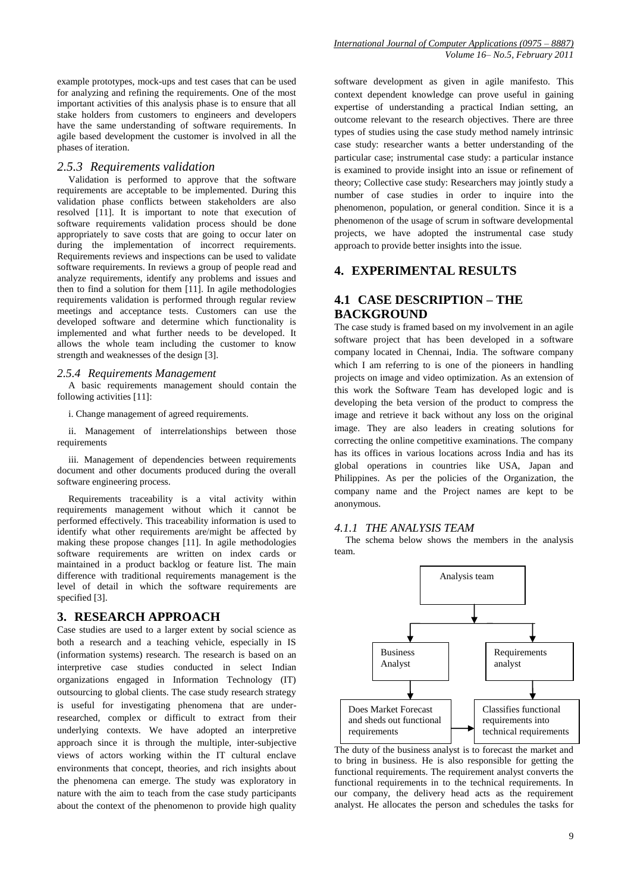example prototypes, mock-ups and test cases that can be used for analyzing and refining the requirements. One of the most important activities of this analysis phase is to ensure that all stake holders from customers to engineers and developers have the same understanding of software requirements. In agile based development the customer is involved in all the phases of iteration.

#### *2.5.3 Requirements validation*

Validation is performed to approve that the software requirements are acceptable to be implemented. During this validation phase conflicts between stakeholders are also resolved [11]. It is important to note that execution of software requirements validation process should be done appropriately to save costs that are going to occur later on during the implementation of incorrect requirements. Requirements reviews and inspections can be used to validate software requirements. In reviews a group of people read and analyze requirements, identify any problems and issues and then to find a solution for them [11]. In agile methodologies requirements validation is performed through regular review meetings and acceptance tests. Customers can use the developed software and determine which functionality is implemented and what further needs to be developed. It allows the whole team including the customer to know strength and weaknesses of the design [3].

#### *2.5.4 Requirements Management*

A basic requirements management should contain the following activities [11]:

i. Change management of agreed requirements.

ii. Management of interrelationships between those requirements

iii. Management of dependencies between requirements document and other documents produced during the overall software engineering process.

Requirements traceability is a vital activity within requirements management without which it cannot be performed effectively. This traceability information is used to identify what other requirements are/might be affected by making these propose changes [11]. In agile methodologies software requirements are written on index cards or maintained in a product backlog or feature list. The main difference with traditional requirements management is the level of detail in which the software requirements are specified [3].

#### **3. RESEARCH APPROACH**

Case studies are used to a larger extent by social science as both a research and a teaching vehicle, especially in IS (information systems) research. The research is based on an interpretive case studies conducted in select Indian organizations engaged in Information Technology (IT) outsourcing to global clients. The case study research strategy is useful for investigating phenomena that are underresearched, complex or difficult to extract from their underlying contexts. We have adopted an interpretive approach since it is through the multiple, inter-subjective views of actors working within the IT cultural enclave environments that concept, theories, and rich insights about the phenomena can emerge. The study was exploratory in nature with the aim to teach from the case study participants about the context of the phenomenon to provide high quality software development as given in agile manifesto. This context dependent knowledge can prove useful in gaining expertise of understanding a practical Indian setting, an outcome relevant to the research objectives. There are three types of studies using the case study method namely intrinsic case study: researcher wants a better understanding of the particular case; instrumental case study: a particular instance is examined to provide insight into an issue or refinement of theory; Collective case study: Researchers may jointly study a number of case studies in order to inquire into the phenomenon, population, or general condition. Since it is a phenomenon of the usage of scrum in software developmental projects, we have adopted the instrumental case study approach to provide better insights into the issue.

#### **4. EXPERIMENTAL RESULTS**

## **4.1 CASE DESCRIPTION – THE BACKGROUND**

The case study is framed based on my involvement in an agile software project that has been developed in a software company located in Chennai, India. The software company which I am referring to is one of the pioneers in handling projects on image and video optimization. As an extension of this work the Software Team has developed logic and is developing the beta version of the product to compress the image and retrieve it back without any loss on the original image. They are also leaders in creating solutions for correcting the online competitive examinations. The company has its offices in various locations across India and has its global operations in countries like USA, Japan and Philippines. As per the policies of the Organization, the company name and the Project names are kept to be anonymous.

#### *4.1.1 THE ANALYSIS TEAM*

The schema below shows the members in the analysis team.



The duty of the business analyst is to forecast the market and to bring in business. He is also responsible for getting the functional requirements. The requirement analyst converts the functional requirements in to the technical requirements. In our company, the delivery head acts as the requirement analyst. He allocates the person and schedules the tasks for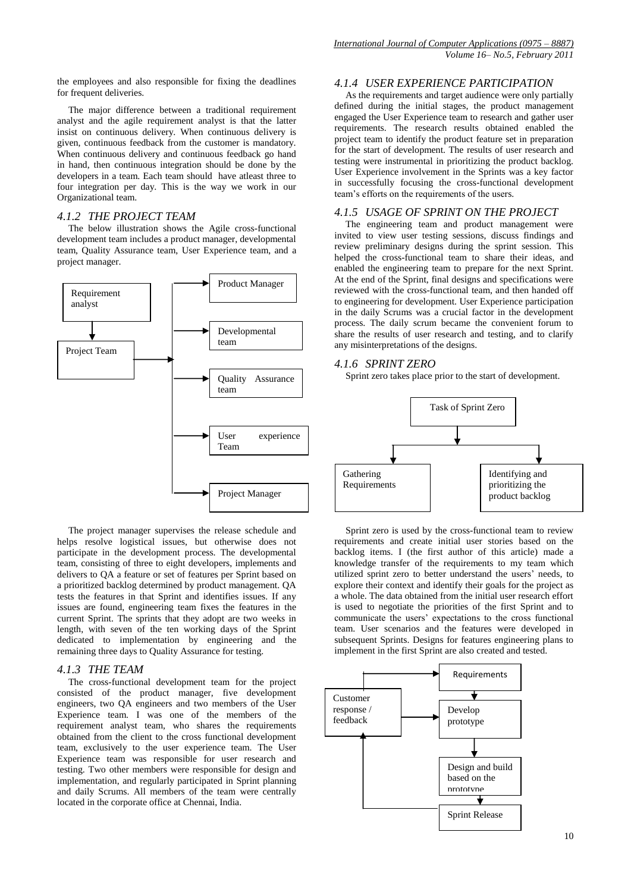the employees and also responsible for fixing the deadlines for frequent deliveries.

The major difference between a traditional requirement analyst and the agile requirement analyst is that the latter insist on continuous delivery. When continuous delivery is given, continuous feedback from the customer is mandatory. When continuous delivery and continuous feedback go hand in hand, then continuous integration should be done by the developers in a team. Each team should have atleast three to four integration per day. This is the way we work in our Organizational team.

#### *4.1.2 THE PROJECT TEAM*

The below illustration shows the Agile cross-functional development team includes a product manager, developmental team, Quality Assurance team, User Experience team, and a project manager.



The project manager supervises the release schedule and helps resolve logistical issues, but otherwise does not participate in the development process. The developmental team, consisting of three to eight developers, implements and delivers to QA a feature or set of features per Sprint based on a prioritized backlog determined by product management. QA tests the features in that Sprint and identifies issues. If any issues are found, engineering team fixes the features in the current Sprint. The sprints that they adopt are two weeks in length, with seven of the ten working days of the Sprint dedicated to implementation by engineering and the remaining three days to Quality Assurance for testing.

#### *4.1.3 THE TEAM*

The cross-functional development team for the project consisted of the product manager, five development engineers, two QA engineers and two members of the User Experience team. I was one of the members of the requirement analyst team, who shares the requirements obtained from the client to the cross functional development team, exclusively to the user experience team. The User Experience team was responsible for user research and testing. Two other members were responsible for design and implementation, and regularly participated in Sprint planning and daily Scrums. All members of the team were centrally located in the corporate office at Chennai, India.

#### *4.1.4 USER EXPERIENCE PARTICIPATION*

As the requirements and target audience were only partially defined during the initial stages, the product management engaged the User Experience team to research and gather user requirements. The research results obtained enabled the project team to identify the product feature set in preparation for the start of development. The results of user research and testing were instrumental in prioritizing the product backlog. User Experience involvement in the Sprints was a key factor in successfully focusing the cross-functional development team's efforts on the requirements of the users.

#### *4.1.5 USAGE OF SPRINT ON THE PROJECT*

The engineering team and product management were invited to view user testing sessions, discuss findings and review preliminary designs during the sprint session. This helped the cross-functional team to share their ideas, and enabled the engineering team to prepare for the next Sprint. At the end of the Sprint, final designs and specifications were reviewed with the cross-functional team, and then handed off to engineering for development. User Experience participation in the daily Scrums was a crucial factor in the development process. The daily scrum became the convenient forum to share the results of user research and testing, and to clarify any misinterpretations of the designs.

#### *4.1.6 SPRINT ZERO*

Sprint zero takes place prior to the start of development.



Sprint zero is used by the cross-functional team to review requirements and create initial user stories based on the backlog items. I (the first author of this article) made a knowledge transfer of the requirements to my team which utilized sprint zero to better understand the users' needs, to explore their context and identify their goals for the project as a whole. The data obtained from the initial user research effort is used to negotiate the priorities of the first Sprint and to communicate the users' expectations to the cross functional team. User scenarios and the features were developed in subsequent Sprints. Designs for features engineering plans to implement in the first Sprint are also created and tested.

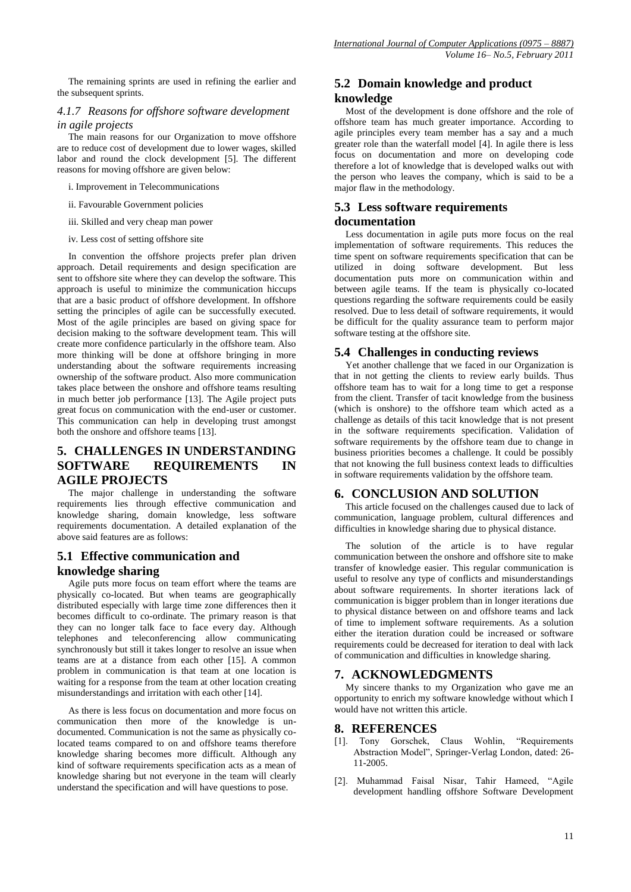The remaining sprints are used in refining the earlier and the subsequent sprints.

#### *4.1.7 Reasons for offshore software development in agile projects*

The main reasons for our Organization to move offshore are to reduce cost of development due to lower wages, skilled labor and round the clock development [5]. The different reasons for moving offshore are given below:

i. Improvement in Telecommunications

ii. Favourable Government policies

iii. Skilled and very cheap man power

iv. Less cost of setting offshore site

In convention the offshore projects prefer plan driven approach. Detail requirements and design specification are sent to offshore site where they can develop the software. This approach is useful to minimize the communication hiccups that are a basic product of offshore development. In offshore setting the principles of agile can be successfully executed. Most of the agile principles are based on giving space for decision making to the software development team. This will create more confidence particularly in the offshore team. Also more thinking will be done at offshore bringing in more understanding about the software requirements increasing ownership of the software product. Also more communication takes place between the onshore and offshore teams resulting in much better job performance [13]. The Agile project puts great focus on communication with the end-user or customer. This communication can help in developing trust amongst both the onshore and offshore teams [13].

# **5. CHALLENGES IN UNDERSTANDING SOFTWARE REQUIREMENTS IN AGILE PROJECTS**

The major challenge in understanding the software requirements lies through effective communication and knowledge sharing, domain knowledge, less software requirements documentation. A detailed explanation of the above said features are as follows:

# **5.1 Effective communication and knowledge sharing**

Agile puts more focus on team effort where the teams are physically co-located. But when teams are geographically distributed especially with large time zone differences then it becomes difficult to co-ordinate. The primary reason is that they can no longer talk face to face every day. Although telephones and teleconferencing allow communicating synchronously but still it takes longer to resolve an issue when teams are at a distance from each other [15]. A common problem in communication is that team at one location is waiting for a response from the team at other location creating misunderstandings and irritation with each other [14].

As there is less focus on documentation and more focus on communication then more of the knowledge is undocumented. Communication is not the same as physically colocated teams compared to on and offshore teams therefore knowledge sharing becomes more difficult. Although any kind of software requirements specification acts as a mean of knowledge sharing but not everyone in the team will clearly understand the specification and will have questions to pose.

## **5.2 Domain knowledge and product knowledge**

Most of the development is done offshore and the role of offshore team has much greater importance. According to agile principles every team member has a say and a much greater role than the waterfall model [4]. In agile there is less focus on documentation and more on developing code therefore a lot of knowledge that is developed walks out with the person who leaves the company, which is said to be a major flaw in the methodology.

## **5.3 Less software requirements documentation**

Less documentation in agile puts more focus on the real implementation of software requirements. This reduces the time spent on software requirements specification that can be utilized in doing software development. But less documentation puts more on communication within and between agile teams. If the team is physically co-located questions regarding the software requirements could be easily resolved. Due to less detail of software requirements, it would be difficult for the quality assurance team to perform major software testing at the offshore site.

#### **5.4 Challenges in conducting reviews**

Yet another challenge that we faced in our Organization is that in not getting the clients to review early builds. Thus offshore team has to wait for a long time to get a response from the client. Transfer of tacit knowledge from the business (which is onshore) to the offshore team which acted as a challenge as details of this tacit knowledge that is not present in the software requirements specification. Validation of software requirements by the offshore team due to change in business priorities becomes a challenge. It could be possibly that not knowing the full business context leads to difficulties in software requirements validation by the offshore team.

## **6. CONCLUSION AND SOLUTION**

This article focused on the challenges caused due to lack of communication, language problem, cultural differences and difficulties in knowledge sharing due to physical distance.

The solution of the article is to have regular communication between the onshore and offshore site to make transfer of knowledge easier. This regular communication is useful to resolve any type of conflicts and misunderstandings about software requirements. In shorter iterations lack of communication is bigger problem than in longer iterations due to physical distance between on and offshore teams and lack of time to implement software requirements. As a solution either the iteration duration could be increased or software requirements could be decreased for iteration to deal with lack of communication and difficulties in knowledge sharing.

#### **7. ACKNOWLEDGMENTS**

My sincere thanks to my Organization who gave me an opportunity to enrich my software knowledge without which I would have not written this article.

#### **8. REFERENCES**

- [1]. Tony Gorschek, Claus Wohlin, "Requirements Abstraction Model", Springer-Verlag London, dated: 26- 11-2005.
- [2]. Muhammad Faisal Nisar, Tahir Hameed, "Agile development handling offshore Software Development